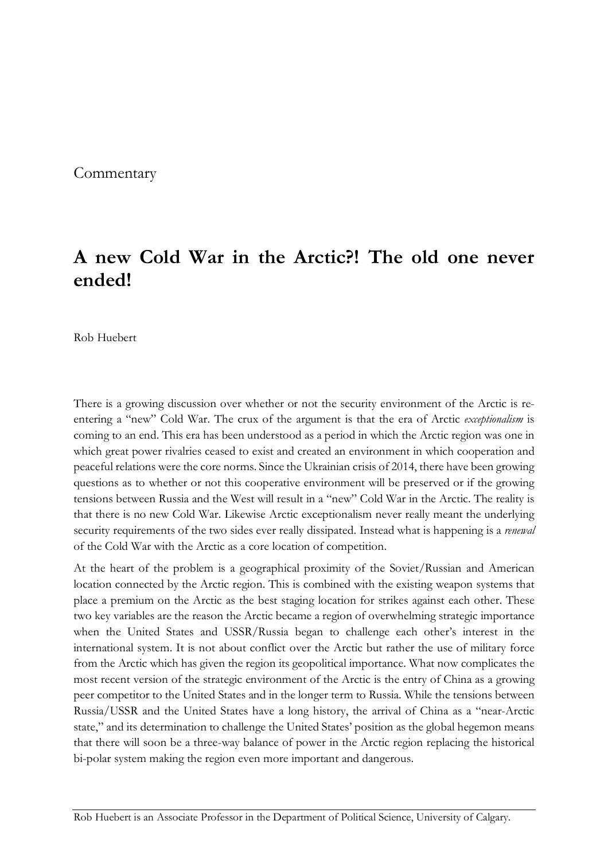**Commentary** 

## **A new Cold War in the Arctic?! The old one never ended!**

Rob Huebert

There is a growing discussion over whether or not the security environment of the Arctic is reentering a "new" Cold War. The crux of the argument is that the era of Arctic *exceptionalism* is coming to an end. This era has been understood as a period in which the Arctic region was one in which great power rivalries ceased to exist and created an environment in which cooperation and peaceful relations were the core norms. Since the Ukrainian crisis of 2014, there have been growing questions as to whether or not this cooperative environment will be preserved or if the growing tensions between Russia and the West will result in a "new" Cold War in the Arctic. The reality is that there is no new Cold War. Likewise Arctic exceptionalism never really meant the underlying security requirements of the two sides ever really dissipated. Instead what is happening is a *renewal* of the Cold War with the Arctic as a core location of competition.

At the heart of the problem is a geographical proximity of the Soviet/Russian and American location connected by the Arctic region. This is combined with the existing weapon systems that place a premium on the Arctic as the best staging location for strikes against each other. These two key variables are the reason the Arctic became a region of overwhelming strategic importance when the United States and USSR/Russia began to challenge each other's interest in the international system. It is not about conflict over the Arctic but rather the use of military force from the Arctic which has given the region its geopolitical importance. What now complicates the most recent version of the strategic environment of the Arctic is the entry of China as a growing peer competitor to the United States and in the longer term to Russia. While the tensions between Russia/USSR and the United States have a long history, the arrival of China as a "near-Arctic state," and its determination to challenge the United States' position as the global hegemon means that there will soon be a three-way balance of power in the Arctic region replacing the historical bi-polar system making the region even more important and dangerous.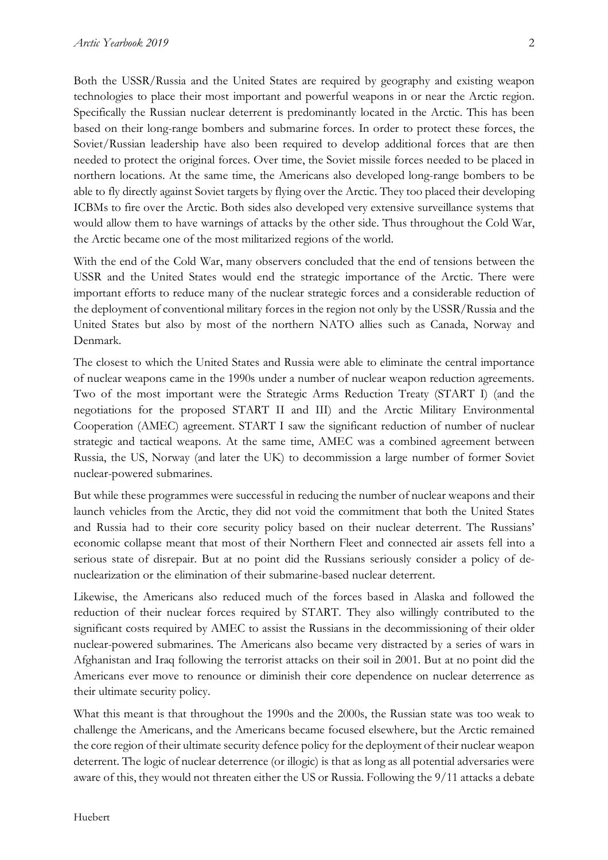Both the USSR/Russia and the United States are required by geography and existing weapon technologies to place their most important and powerful weapons in or near the Arctic region. Specifically the Russian nuclear deterrent is predominantly located in the Arctic. This has been based on their long-range bombers and submarine forces. In order to protect these forces, the Soviet/Russian leadership have also been required to develop additional forces that are then needed to protect the original forces. Over time, the Soviet missile forces needed to be placed in northern locations. At the same time, the Americans also developed long-range bombers to be able to fly directly against Soviet targets by flying over the Arctic. They too placed their developing ICBMs to fire over the Arctic. Both sides also developed very extensive surveillance systems that would allow them to have warnings of attacks by the other side. Thus throughout the Cold War, the Arctic became one of the most militarized regions of the world.

With the end of the Cold War, many observers concluded that the end of tensions between the USSR and the United States would end the strategic importance of the Arctic. There were important efforts to reduce many of the nuclear strategic forces and a considerable reduction of the deployment of conventional military forces in the region not only by the USSR/Russia and the United States but also by most of the northern NATO allies such as Canada, Norway and Denmark.

The closest to which the United States and Russia were able to eliminate the central importance of nuclear weapons came in the 1990s under a number of nuclear weapon reduction agreements. Two of the most important were the Strategic Arms Reduction Treaty (START I) (and the negotiations for the proposed START II and III) and the Arctic Military Environmental Cooperation (AMEC) agreement. START I saw the significant reduction of number of nuclear strategic and tactical weapons. At the same time, AMEC was a combined agreement between Russia, the US, Norway (and later the UK) to decommission a large number of former Soviet nuclear-powered submarines.

But while these programmes were successful in reducing the number of nuclear weapons and their launch vehicles from the Arctic, they did not void the commitment that both the United States and Russia had to their core security policy based on their nuclear deterrent. The Russians' economic collapse meant that most of their Northern Fleet and connected air assets fell into a serious state of disrepair. But at no point did the Russians seriously consider a policy of denuclearization or the elimination of their submarine-based nuclear deterrent.

Likewise, the Americans also reduced much of the forces based in Alaska and followed the reduction of their nuclear forces required by START. They also willingly contributed to the significant costs required by AMEC to assist the Russians in the decommissioning of their older nuclear-powered submarines. The Americans also became very distracted by a series of wars in Afghanistan and Iraq following the terrorist attacks on their soil in 2001. But at no point did the Americans ever move to renounce or diminish their core dependence on nuclear deterrence as their ultimate security policy.

What this meant is that throughout the 1990s and the 2000s, the Russian state was too weak to challenge the Americans, and the Americans became focused elsewhere, but the Arctic remained the core region of their ultimate security defence policy for the deployment of their nuclear weapon deterrent. The logic of nuclear deterrence (or illogic) is that as long as all potential adversaries were aware of this, they would not threaten either the US or Russia. Following the 9/11 attacks a debate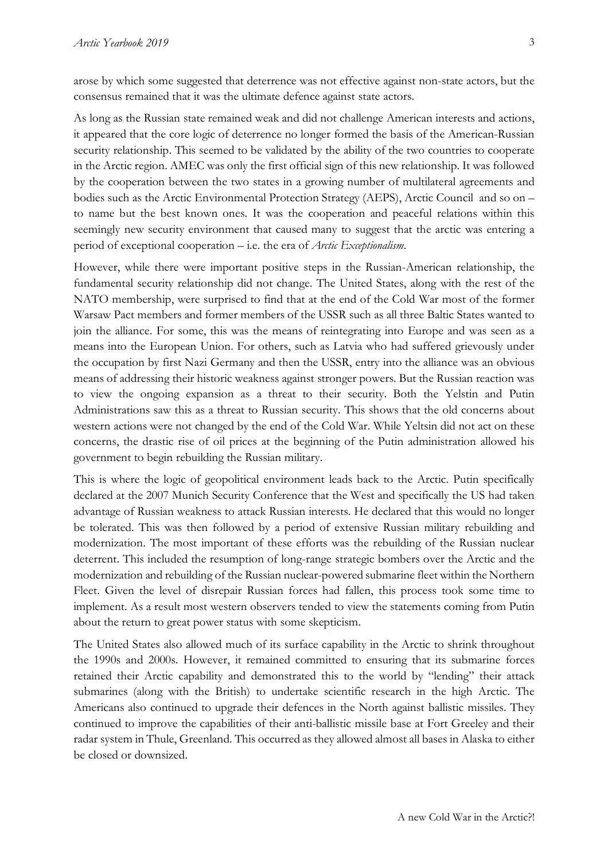arose by which some suggested that deterrence was not effective against non-state actors, but the consensus remained that it was the ultimate defence against state actors.

As long as the Russian state remained weak and did not challenge American interests and actions, it appeared that the core logic of deterrence no longer formed the basis of the American-Russian security relationship. This seemed to be validated by the ability of the two countries to cooperate in the Arctic region. AMEC was only the first official sign of this new relationship. It was followed by the cooperation between the two states in a growing number of multilateral agreements and bodies such as the Arctic Environmental Protection Strategy (AEPS), Arctic Council and so on – to name but the best known ones. It was the cooperation and peaceful relations within this seemingly new security environment that caused many to suggest that the arctic was entering a period of exceptional cooperation – i.e. the era of *Arctic Exceptionalism*.

However, while there were important positive steps in the Russian-American relationship, the fundamental security relationship did not change. The United States, along with the rest of the NATO membership, were surprised to find that at the end of the Cold War most of the former Warsaw Pact members and former members of the USSR such as all three Baltic States wanted to join the alliance. For some, this was the means of reintegrating into Europe and was seen as a means into the European Union. For others, such as Latvia who had suffered grievously under the occupation by first Nazi Germany and then the USSR, entry into the alliance was an obvious means of addressing their historic weakness against stronger powers. But the Russian reaction was to view the ongoing expansion as a threat to their security. Both the Yelstin and Putin Administrations saw this as a threat to Russian security. This shows that the old concerns about western actions were not changed by the end of the Cold War. While Yeltsin did not act on these concerns, the drastic rise of oil prices at the beginning of the Putin administration allowed his government to begin rebuilding the Russian military.

This is where the logic of geopolitical environment leads back to the Arctic. Putin specifically declared at the 2007 Munich Security Conference that the West and specifically the US had taken advantage of Russian weakness to attack Russian interests. He declared that this would no longer be tolerated. This was then followed by a period of extensive Russian military rebuilding and modernization. The most important of these efforts was the rebuilding of the Russian nuclear deterrent. This included the resumption of long-range strategic bombers over the Arctic and the modernization and rebuilding of the Russian nuclear-powered submarine fleet within the Northern Fleet. Given the level of disrepair Russian forces had fallen, this process took some time to implement. As a result most western observers tended to view the statements coming from Putin about the return to great power status with some skepticism.

The United States also allowed much of its surface capability in the Arctic to shrink throughout the 1990s and 2000s. However, it remained committed to ensuring that its submarine forces retained their Arctic capability and demonstrated this to the world by "lending" their attack submarines (along with the British) to undertake scientific research in the high Arctic. The Americans also continued to upgrade their defences in the North against ballistic missiles. They continued to improve the capabilities of their anti-ballistic missile base at Fort Greeley and their radar system in Thule, Greenland. This occurred as they allowed almost all bases in Alaska to either be closed or downsized.